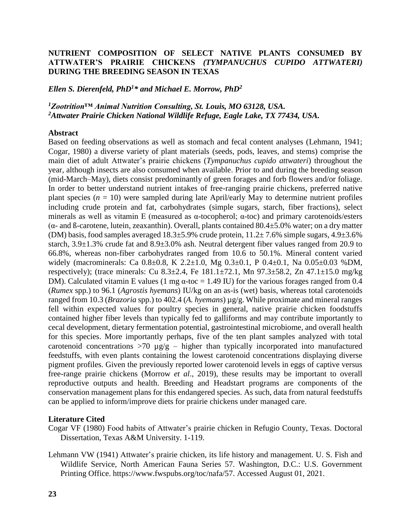## **NUTRIENT COMPOSITION OF SELECT NATIVE PLANTS CONSUMED BY ATTWATER'S PRAIRIE CHICKENS** *(TYMPANUCHUS CUPIDO ATTWATERI)* **DURING THE BREEDING SEASON IN TEXAS**

## *Ellen S. Dierenfeld, PhD<sup>1</sup>\* and Michael E. Morrow, PhD<sup>2</sup>*

*<sup>1</sup>Zootrition™ Animal Nutrition Consulting, St. Louis, MO 63128, USA. <sup>2</sup>Attwater Prairie Chicken National Wildlife Refuge, Eagle Lake, TX 77434, USA.*

## **Abstract**

Based on feeding observations as well as stomach and fecal content analyses (Lehmann, 1941; Cogar, 1980) a diverse variety of plant materials (seeds, pods, leaves, and stems) comprise the main diet of adult Attwater's prairie chickens (*Tympanuchus cupido attwateri*) throughout the year, although insects are also consumed when available. Prior to and during the breeding season (mid-March–May), diets consist predominantly of green forages and forb flowers and/or foliage. In order to better understand nutrient intakes of free-ranging prairie chickens, preferred native plant species  $(n = 10)$  were sampled during late April/early May to determine nutrient profiles including crude protein and fat, carbohydrates (simple sugars, starch, fiber fractions), select minerals as well as vitamin E (measured as  $\alpha$ -tocopherol;  $\alpha$ -toc) and primary carotenoids/esters ( $\alpha$ - and  $\beta$ -carotene, lutein, zeaxanthin). Overall, plants contained 80.4 $\pm$ 5.0% water; on a dry matter (DM) basis, food samples averaged  $18.3\pm5.9\%$  crude protein,  $11.2\pm7.6\%$  simple sugars,  $4.9\pm3.6\%$ starch,  $3.9\pm1.3\%$  crude fat and  $8.9\pm3.0\%$  ash. Neutral detergent fiber values ranged from 20.9 to 66.8%, whereas non-fiber carbohydrates ranged from 10.6 to 50.1%. Mineral content varied widely (macrominerals: Ca 0.8±0.8, K 2.2±1.0, Mg 0.3±0.1, P 0.4±0.1, Na 0.05±0.03 %DM, respectively); (trace minerals: Cu 8.3 $\pm$ 2.4, Fe 181.1 $\pm$ 72.1, Mn 97.3 $\pm$ 58.2, Zn 47.1 $\pm$ 15.0 mg/kg DM). Calculated vitamin E values (1 mg  $\alpha$ -toc = 1.49 IU) for the various forages ranged from 0.4 (*Rumex* spp.) to 96.1 (*Agrostis hyemans*) IU/kg on an as-is (wet) basis, whereas total carotenoids ranged from 10.3 (*Brazoria* spp.) to 402.4 (*A. hyemans*) µg/g. While proximate and mineral ranges fell within expected values for poultry species in general, native prairie chicken foodstuffs contained higher fiber levels than typically fed to galliforms and may contribute importantly to cecal development, dietary fermentation potential, gastrointestinal microbiome, and overall health for this species. More importantly perhaps, five of the ten plant samples analyzed with total carotenoid concentrations  $>70 \mu g/g -$  higher than typically incorporated into manufactured feedstuffs, with even plants containing the lowest carotenoid concentrations displaying diverse pigment profiles. Given the previously reported lower carotenoid levels in eggs of captive versus free-range prairie chickens (Morrow *et al*., 2019), these results may be important to overall reproductive outputs and health. Breeding and Headstart programs are components of the conservation management plans for this endangered species. As such, data from natural feedstuffs can be applied to inform/improve diets for prairie chickens under managed care.

## **Literature Cited**

- Cogar VF (1980) Food habits of Attwater's prairie chicken in Refugio County, Texas. Doctoral Dissertation, Texas A&M University. 1-119.
- Lehmann VW (1941) Attwater's prairie chicken, its life history and management. U. S. Fish and Wildlife Service, North American Fauna Series 57. Washington, D.C.: U.S. Government Printing Office. https://www.fwspubs.org/toc/nafa/57. Accessed August 01, 2021.